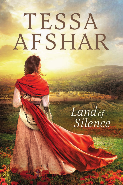# Land<sub>of</sub>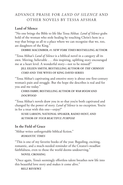## ADVANCE PRAISE FOR *LAND OF SILENCE* AND OTHER NOVELS BY TESSA AFSHAR

## **Land of Silence**

"No one brings the Bible to life like Tessa Afshar. *Land of Silence* grabs hold of the woman who stole healing by touching Christ's hem in a way that brings us all to a place where we can recognize that we, too, are daughters of the King."

## **DEBBIE MACOMBER, #1** *NEW YORK TIMES* **BESTSELLING AUTHOR**

"Tessa Afshar's *Land of Silence* is a biblical novel in a category all its own. Moving, believable . . . this inspiring, uplifting story encouraged me at a heart level. A wonderful story—not to be missed!"

## **JILL EILEEN SMITH, BESTSELLING AUTHOR OF** *THE CRIMSON CORD* **AND THE WIVES OF KING DAVID SERIES**

"Tessa Afshar's captivating and emotive story is about one first-century woman's pain and struggle. But the hope she describes is real and for you and me today."

## **CHRIS FABRY, BESTSELLING AUTHOR OF** *WAR ROOM* **AND** *DOGWOOD*

"Tessa Afshar's novels draw you in so that you're both captivated and changed by the power of story. *Land of Silence* is no exception. You're in for a treat with this one—enjoy!"

## **SUSIE LARSON, NATIONAL SPEAKER, RADIO HOST, AND AUTHOR OF** *YOUR BEAUTIFUL PURPOSE*

## **In the Field of Grace**

"Afshar writes unforgettable biblical fiction." *ROMANTIC TIMES*

"This is one of my favorite books of the year. Beguiling, exciting, romantic, and a much-needed reminder of the Creator's steadfast faithfulness, even to those the world deems undeserving."

## **NOVEL CROSSING**

"Once again, Tessa's seemingly effortless talent breathes new life into this beautiful love story and makes it come alive."

**RELZ REVIEWZ**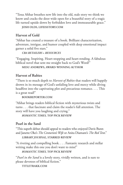"Tessa Afshar breathes new life into the old, stale story we think we know and cracks the door wide open for a beautiful story of a tragic life turned upside down by forbidden love and immeasurable grace."

**JOSH OLDS, LIFEISSTORY.COM**

## **Harvest of Gold**

"Afshar has created a treasure of a book. Brilliant characterization, adventure, intrigue, and humor coupled with deep emotional impact garner a solid five stars."

## *CBA RETAILERS + RESOURCES*

"Engaging. Inspiring. Heart-stopping and heart-rending. A fabulous biblical novel that sent me straight back to God's Word!"

**MESU ANDREWS, AWARD-WINNING AUTHOR** 

## **Harvest of Rubies**

"There is so much depth to *Harvest of Rubies* that readers will happily drown in its message of God's unfailing love and mercy while diving headfirst into the captivating plot and precarious romance. . . . This is a great read!"

**BOOKREPORTER.COM**

"Afshar brings readers biblical fiction with mysterious twists and turns . . . that fascinate and claim the reader's full attention. The story will have you laughing and crying."

*ROMANTIC TIMES,* **TOP PICK REVIEW**

## **Pearl in the Sand**

"This superb debut should appeal to readers who enjoyed Davis Bunn and Janette Oke's *The Centurion's Wife* or Anita Diamant's *The Red Tent*."

## *LIBRARY JOURNAL,* **STARRED REVIEW**

"A riveting and compelling book. . . . Fantastic research and stellar writing make this one you don't want to miss!"

*ROMANTIC TIMES,* **TOP PICK REVIEW**

"*Pearl in the Sand* is a lovely story, vividly written, and is sure to please devotees of biblical fiction."

**TITLETRAKK.COM**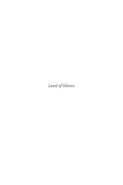*Land of Silence*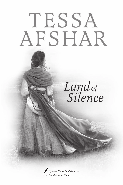## $S_{\rm s}$  and it is a still allowed that if  $\lambda$ Land of Silence

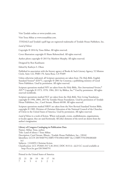Visit Tyndale online at www.tyndale.com.

Visit Tessa Afshar at www.tessaafshar.com.

*TYNDALE* and Tyndale's quill logo are registered trademarks of Tyndale House Publishers, Inc.

*Land of Silence*

Copyright © 2016 by Tessa Afshar. All rights reserved.

Cover illustration copyright © Shane Rebenschied. All rights reserved.

Author photo copyright © 2015 by Matthew Murphy. All rights reserved.

Designed by Ron Kaufmann

Edited by Kathryn S. Olson

Published in association with the literary agency of Books & Such Literary Agency, 52 Mission Circle, Suite 122, PMB 170, Santa Rosa, CA 95409

Unless otherwise indicated, all Scripture quotations are taken from *The Holy Bible*, English Standard Version® (ESV®), copyright © 2001 by Crossway, a publishing ministry of Good News Publishers. Used by permission. All rights reserved.

Scripture quotations marked NIV are taken from the Holy Bible, *New International Version*, Scripture quotations marked NIV are taken from the Holy Bible, *New International Version*,®<br>*NIV.*® Copyright © 1973, 1978, 1984, 2011 by Biblica, Inc.® Used by permission. All rights reserved worldwide.

Scripture quotations marked NLT are taken from the *Holy Bible*, New Living Translation, copyright © 1996, 2004, 2015 by Tyndale House Foundation. Used by permission of Tyndale House Publishers, Inc., Carol Stream, Illinois 60188. All rights reserved.

Scripture quotations marked NRSV are taken from the New Revised Standard Version Bible, copyright © 1989, Division of Christian Education of the National Council of the Churches of Christ in the United States of America. Used by permission. All rights reserved.

*Land of Silence* is a work of fiction. Where real people, events, establishments, organizations, or locales appear, they are used fictitiously. All other elements of the novel are drawn from the author's imagination.

### **Library of Congress Cataloging-in-Publication Data**

Names: Afshar, Tessa, author. Title: Land of silence / Tessa Afshar. Description: Carol Stream, Illinois : Tyndale House Publishers, Inc., [2016] Identifiers: LCCN 2015040791| ISBN 9781496414007 (hc) | ISBN 9781496406460 (sc) Subjects: | GSAFD: Christian fiction. Classification: LCC PS3601.F47 L36 2016 | DDC 813/.6—dc23 LC record available at <http://lccn.loc.gov/2015040791>

Printed in the United States of America

|  |             | 22 21 20 19 18 17 16 |  |
|--|-------------|----------------------|--|
|  | $4 \quad 3$ |                      |  |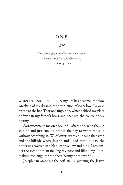## ONE

 $\infty$ 

*I have been forgotten like one who is dead; I have become like a broken vessel.* Psalm 31:12

WHEN I THINK OF THE RUIN my life has become, the slow wrecking of my dreams, the destruction of every love, I always return to the bee. That one tiny sting, which robbed my place of favor in my father's heart and changed the course of my destiny.

Sorrow came to me on a beautiful afternoon, with the sun shining and just enough heat in the day to warm the skin without scorching it. Wildflowers were abundant that year, and the hillside where Joseph and I had come to pass the hours was covered in a blanket of yellow and pink. I remember the scent of them tickling my nose and filling my lungs, making me laugh for the sheer beauty of the world.

Joseph ran amongst the soft stalks, piercing the leaves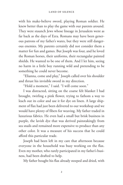with his make-believe sword, playing Roman soldier. He knew better than to play the game with our parents around. They were staunch Jews whose lineage in Jerusalem went as far back as the days of Ezra. Romans may have been generous patrons of my father's wares, but they were still dangerous enemies. My parents certainly did not consider them a matter for fun and games. But Joseph was four, and he loved the Roman horses, their uniforms, their rectangular painted shields. He wanted to be one of them. And I let him, seeing no harm in a little boy running wild and pretending to be something he could never become.

"Elianna, come and play," Joseph called over his shoulder and thrust his invisible sword in my direction.

"Hold a moment," I said. "I will come soon."

I was distracted, sitting on the coarse felt blanket I had brought, twirling a pink flower, trying to fathom a way to leach out its color and use it for dye on linen. A large shipment of flax had just been delivered to our workshop and we would have plenty of fibers for weaving. My father traded in luxurious fabrics. He even had a small but brisk business in purple, the lavish dye that was derived painstakingly from sea snails and remained more expensive to produce than any other color. It was a measure of his success that he could afford this particular trade.

Joseph had been left in my care that afternoon because everyone in the household was busy working on the flax. Even my mother, who rarely participated in my father's business, had been drafted to help.

My father bought his flax already steeped and dried, with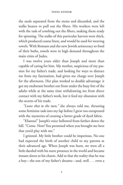the seeds separated from the stems and discarded, and the stalks beaten to pull out the fibers. His workers were left with the task of combing out the fibers, making them ready for spinning. The stalks of this particular harvest were thick, which produced coarse linen, and would be used for weaving towels. With Romans and the new Jewish aristocracy so fond of their baths, towels were in high demand throughout the main cities of Judea.

I was twelve years older than Joseph and more than capable of caring for him. My mother, suspicious of my passion for my father's trade, and looking for ways to distract me from my fascination, had given me charge over Joseph for the afternoon. Her plan worked to double advantage: it got my exuberant brother out from under the busy feet of the adults while at the same time withdrawing me from direct contact with my father's work, lest it feed my obsession with the secrets of his trade.

*"Leave that to the men,"* she always told me, thrusting some feminine task into my lap before I grew too enraptured with the mysteries of creating a better grade of dyed fabric.

"Elianna!" Joseph's voice bellowed from farther down the hill. "Come. Now! You promised when you brought me here that you'd play with me."

I grinned. My little brother could be imperious. No one had expected the birth of another child to my parents at their advanced age. When Joseph was born, we were all a little dazzled with his mere presence in the world and became instant slaves to his charm. Add to that the reality that he was a boy—the son of my father's dreams—and, well . . . even a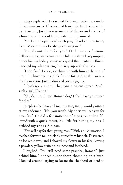burning seraph could be excused for being a little spoilt under the circumstances. If he seemed bossy, the fault belonged to us. By nature, Joseph was so sweet that the overindulgence of a hundred adults could not render him tyrannical.

"You better hope I don't catch you," I said as I rose to my feet. "My sword is a lot sharper than yours."

"No, it's not. I'll defeat you." He let loose a fearsome bellow and began to run up the hill, his short legs pumping under his hitched-up tunic at a speed that made me flinch. I needed my whole strength to keep up with that boy.

"Hold fast," I cried, catching up with him at the top of the hill, thrusting my pink flower forward as if it were a deadly weapon. Joseph doubled over, giggling.

"That's not a sword! That can't even cut thread. You're such a girl, Elianna."

"You dare insult me, Roman dog? I shall have your head for that."

Joseph rushed toward me, his imaginary sword pointed at my abdomen. "No, you won't. My horse will eat you for breakfast." He did a fair imitation of a parry and then followed with a quick thrust, his little fist hitting my ribs. I grabbed my side as if in pain.

"You will pay for that, young man." With a quick motion, I reached forward to untuck his tunic from his belt. Distracted, he looked down, and I shoved my flower in his face, leaving a powdery yellow stain on his nose and forehead.

I laughed. "You still need some practice, Roman." Just behind him, I noticed a lone sheep chomping on a bush. I looked around, trying to locate the shepherd or herd to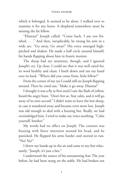which it belonged. It seemed to be alone. I walked over to examine it for any hurts. A shepherd somewhere must be missing the fat fellow.

"Elianna!" Joseph called. "Come back. I am not finished. . . ." And then, inexplicably, he swung his arm in a wide arc. "Go away. Go away!" His voice emerged highpitched and shaken. He made a half circle around himself, his hands flapping about him in frantic motion.

The sheep had my attention, though, and I ignored Joseph's cry. Up close, I could see that it was well cared for, its wool healthy and clean. I knelt down and ran my hand over its back. "Where did you come from, little fellow?"

From the corner of my eye I could still see Joseph flapping around. Then he cried out, "Make it go away, Elianna!"

I thought it was a fly at first until I saw the flash of yellow, heard the angry buzz. "Don't fret so. Stay calm, and it will go away of its own accord." I didn't want to leave the lost sheep, in case it wandered away and became even more lost. Joseph was old enough to deal with a buzzing bee. Really, we had overindulged him. I tried to make my voice soothing. "Calm yourself, brother."

My words had no effect on Joseph. The creature was buzzing with fierce intention around his head, and he panicked. He flapped his arms harder and started to run. "No! No!"

I threw my hands up in the air and came to my feet reluctantly. "Joseph, it's just a bee."

I understood the source of his unreasoning fear. The year before, he had been stung on the ankle. He had broken out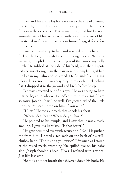in hives and his entire leg had swollen to the size of a young tree trunk, and he had been in terrible pain. He had never forgotten the experience. But in my mind, that had been an anomaly. We all had to contend with bees. It was part of life. I watched in frustration as he ran himself ragged for a few moments.

Finally, I caught up to him and reached out my hands to flick at the bee, although I could no longer see it. Without warning, Joseph let out a piercing wail that made my belly lurch. He rubbed at the side of his head, and then I spotted the insect caught in the hair near his temple. I grabbed the bee in my palm and squeezed. Half-drunk from having released its venom, it was easy prey in my violent, clenching fist. I dropped it to the ground and knelt before Joseph.

Fat tears squeezed out of his eyes. He was crying so hard that he began to wheeze. I cuddled him in my arms. "I am so sorry, Joseph. It will be well. I've gotten rid of the little monster. You can stomp on him, if you wish."

"Hurts." He took a breath that shook his chest.

"Where, dear heart? Where do you hurt?"

He pointed to his temple, and I saw that it was already swelling. I gave it a light kiss. "Is that better?"

His gaze brimmed over with accusation. "No." He pushed me from him. I noted a red welt on the back of his stillchubby hand. "Did it sting you twice?" I frowned as I stared at the raised mark, spreading like spilled dye on his baby skin. Joseph shook his head. Hives, I realized with a wince. Just like last year.

He took another breath that shivered down his body. He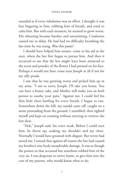sounded as if every inhalation was an effort. I thought it was fear lingering in him, robbing him of breath, and tried to calm him. But with each moment, he seemed to grow worse. His wheezing became harsher and unremitting. Confusion caused me to delay. He had had no difficulty breathing the last time he was stung. Was this panic?

I should have helped him sooner, come to his aid at the start, when the bee first began to pursue him. And then it occurred to me that the bee might have been attracted to the scent and powder of the flower I had pressed on his face. Perhaps it would not have come near Joseph at all if not for my silly prank.

I saw that he was growing worse and picked him up in my arms. "I am so sorry, Joseph. I'll take you home. You can have a honey cake, and Mother will make you an herb potion to soothe your pain." Against me, I could feel his thin little chest battling for every breath. I began to run. Somewhere down the hill, my sandal came off, caught on a stone protruding from the ground. I stumbled, then righted myself and kept on running without tarrying to retrieve the lost shoe.

"Sick," Joseph said, his voice weak. Before I could turn him, he threw up, soaking my shoulder and my chest. Normally I would have groaned with disgust. But terror had seized me. I sensed that against all reason the bee had caused my brother's tiny body inexplicable damage. It was as though the poison in that accursed bee somehow robbed him of the very air. I was desperate to arrive home, to give him into the care of my parents, who would know what to do.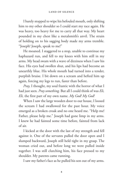## **LAND OF SILENCE**

I barely stopped to wipe his befouled mouth, only shifting him to my other shoulder so I could start my race again. He was heavy, too heavy for me to carry all that way. My heart pounded in my chest like a metalsmith's anvil. The strain of holding on to his sagging body made my arms tremble. "Joseph! Joseph, speak to me!"

He moaned. I staggered to a stop, unable to continue my haphazard run, and fell to my knees with him still in my arms. My head swam with a wave of dizziness when I saw his face. His eyes had swollen shut, and his lips had become an unearthly blue. His whole mouth had turned into a tender, purplish bruise. I bit down on a scream and hefted him up again, forcing my legs to run, faster than before.

*Pray,* I thought, my soul frantic with the horror of what I had just seen. *Pray something.* But all I could think of was *Eli, Eli,* the first part of my own name. *My God! My God!*

When I saw the large wooden door to our house, I loosed the scream I had swallowed for the past hour. My voice emerged as a broken croak and no one heard me. "Help me! Father, please help me." Joseph had gone limp in my arms. I knew he had fainted some time before, fainted from lack of air.

I kicked at the door with the last of my strength and fell against it. One of the servants pulled the door open and I slumped backward, Joseph still held tight in my grasp. The woman cried out, and before long we were pulled inside together. I was still clutching him, his face pressed to my shoulder. My parents came running.

I saw my father's face as he pulled his son out of my arms.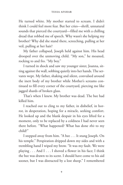He turned white. My mother started to scream. I didn't think I could feel more fear. But her cries—shrill, unnatural sounds that pierced the courtyard—filled me with a chilling dread that robbed me of speech. Why wasn't she helping my brother? Why did she stand there, screeching, pulling at her veil, pulling at her hair?

My father collapsed, Joseph held against him. His head drooped over the unmoving child. "My son," he moaned, rocking to and fro. "My boy."

I turned in shock and saw my younger sister, Joanna, sitting against the wall, sobbing quietly into her hands. The servants wept. My father, shaking and silent, convulsed around the inert body of my brother while Mother's screams continued to fill every corner of the courtyard, piercing me like jagged shards of broken glass.

That's when I knew. My brother was dead. The bee had killed him.

I reached out to cling to my father, in disbelief, in horror, in desperation, hoping for a miracle, seeking comfort. He looked up and the blank despair in his eyes lifted for a moment, only to be replaced by a coldness I had never seen there before. "What happened? What has done *this* to my child?"

I stepped away from him. "A bee . . . It stung Joseph. On his temple." Perspiration dripped down my sides and with a trembling hand I wiped my brow. "It was my fault. We were playing . . . And I . . . I shoved a flower in his face; I think the bee was drawn to its scent. I should have come to his aid sooner, but I was distracted by a lost sheep." I remembered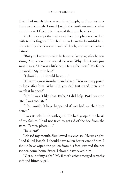that I had merely thrown words at Joseph, as if my instructions were enough. I owed Joseph the truth no matter what punishment I faced. He deserved that much, at least.

My father swept the hair away from Joseph's swollen flesh with tender fingers. I flinched when I saw his beautiful face, distorted by the obscene hand of death, and swayed where I stood.

"But you knew how sick he became last year, after he was stung. You knew how scared he was. Why didn't you just swat it away? He was a little boy. He was helpless." My father moaned. "My little boy!"

"I should . . . I should have . . ."

His words grew iron-hard and sharp. "You were supposed to look after him. What did you do? Just stand there and watch it happen?"

"No! It wasn't like that, Father! I did help. But I was too late. I was too late!"

"This wouldn't have happened if you had watched him better."

I was struck dumb with guilt. He had grasped the heart of my failure. I had not tried to get rid of the bee from the start. "Father, please . . ."

"Be silent!"

I closed my mouth. Swallowed my excuses. He was right. I had failed Joseph. I should have taken better care of him. I should have wiped the pollen from his face, swatted the bee sooner, come home faster. I should have saved him.

"Get out of my sight." My father's voice emerged scratchy soft and bitter as gall.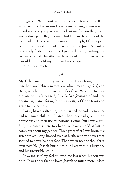I gasped. With broken movements, I forced myself to stand, to walk. I went inside the house, leaving a faint trail of blood with every step where I had cut my foot on the jagged stones during my flight home. Huddling in the corner of the room where I slept with my sister and Joseph, I finally gave vent to the tears that I had quenched earlier. Joseph's blanket was neatly folded in a corner. I grabbed it and, pushing my face into its folds, breathed in the scent of him and knew that I would never hold my precious brother again.

And it was my fault.

## $\mathcal{X}^*$

My father made up my name when I was born, putting together two Hebrew names: *Eli*, which means *my God*, and *Anna*, which in our tongue signifies *favor*. When he first set eyes on me, my father said, *"My God has favored me,"* and that became my name, for my birth was a sign of God's favor and grace to my parents.

For eight years after they were married, he and my mother had remained childless. I came when they had given up on physicians and their useless potions. I came, but I was a girl. Still, my parents were too happy to have a child at last to complain about my gender. Three years after I was born, my sister arrived, long-limbed even at birth, with wide eyes that seemed to cover half her face. Then when no one thought it even possible, Joseph burst into our lives with his lusty cry and his irresistible smile.

It wasn't as if my father loved me less when his son was born. It was only that he loved Joseph so much more. More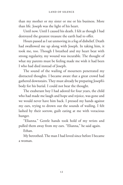than my mother or my sister or me or his business. More than life. Joseph was the light of his heart.

Until now. Until I caused his death. I felt as though I had destroyed the greatest treasure the earth had to offer.

Hours passed as I sat unmoving in a fog of disbelief. Death had swallowed me up along with Joseph. In taking him, it took me, too. Though I breathed and my heart beat with strong regularity, my wound was incurable. The thought of what my parents must be feeling made me wish it had been I who had died instead of Joseph.

The sound of the wailing of mourners penetrated my distracted thoughts. I became aware that a great crowd had gathered downstairs. They must already be preparing Joseph's body for his burial. I could not bear the thought.

The exuberant boy I had adored for four years, the child who had made me laugh and hope and rejoice, was gone and we would never have him back. I pressed my hands against my ears, trying to drown out the sounds of wailing. I felt lashed by their sorrow, guilt eating at me with voracious hunger.

"Elianna." Gentle hands took hold of my wrists and pulled them away from my ears. "Elianna," he said again.

Ethan.

My betrothed. The man I had loved since before I became a woman.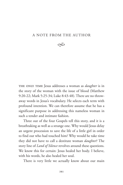## A NOTE FROM THE AUTHOR



The only time Jesus addresses a woman as *daughter* is in the story of the woman with the issue of blood (Matthew 9:20-22; Mark 5:25-34; Luke 8:43-48). There are no throwaway words in Jesus's vocabulary. He selects each term with profound intention. We can therefore assume that he has a significant purpose in addressing this nameless woman in such a tender and intimate fashion.

Three out of the four Gospels tell this story, and it is a breathtaking as well as a strange one. Why would Jesus delay an urgent procession to save the life of a little girl in order to find out who had touched him? Why would he take time they did not have to call a destitute woman *daughter*? The story line of *Land of Silence* revolves around these questions. We know this for certain: Jesus healed her body. I believe, with his words, he also healed her soul.

There is very little we actually know about our main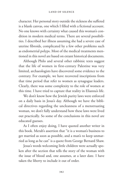## **LAND OF SILENCE**

character. Her personal story outside the sickness she suffered is a blank canvas, one which I filled with a fictional account. No one knows with certainty what caused this woman's condition in modern medical terms. There are several possibilities. I described her illness assuming she had a severe case of uterine fibroids, complicated by a few other problems such as endometrial polyps. Most of the medical treatments mentioned in this novel are based on extant historical documents.

Although Philo and several other rabbinic texts suggest that the life of women in first- century Palestine was very limited, archaeologists have discovered some evidence to the contrary. For example, we have recovered inscriptions from that time period that refer to women as synagogue leaders. Clearly, there was some complexity to the role of women at this time. I have tried to capture that reality in Elianna's life.

We don't know how the Jewish purity laws were enforced on a daily basis in Jesus's day. Although we have the biblical directives regarding the uncleanness of a menstruating woman, we don't fully understand how these laws were lived out practically. So some of the conclusions in this novel are educated guesses.

As I often enjoy doing, I have quoted another writer in this book. Merab's assertion that "it is a woman's business to get married as soon as possible, and a man's to keep unmarried as long as he can" is a quote from George Bernard Shaw.

Jesus's words welcoming little children were actually spoken after the section that tells the story of the woman with the issue of blood and, one assumes, at a later date. I have taken the liberty to include it out of order.